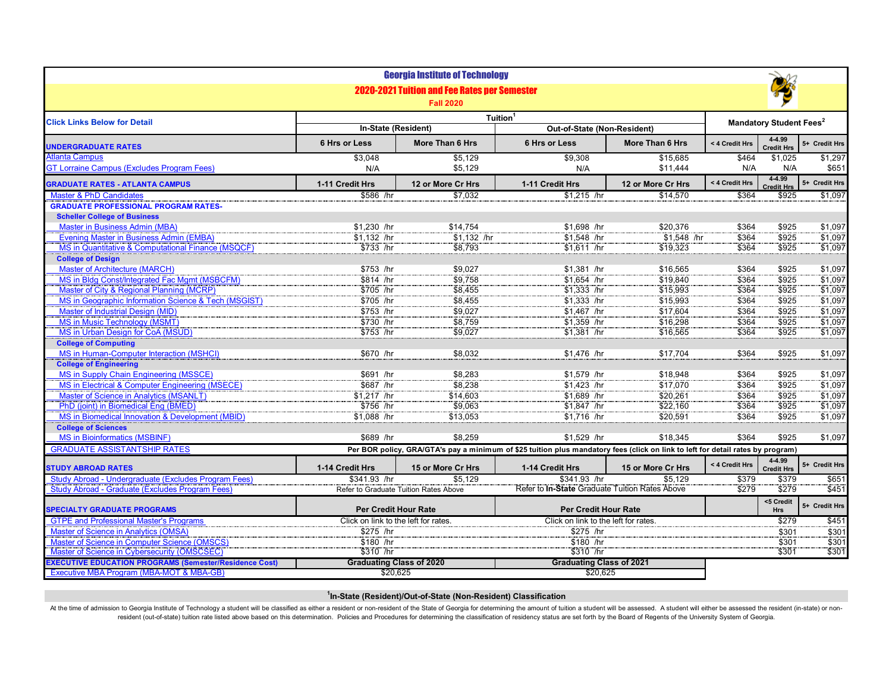|                                                                                                      |                                                                                                                                 | <b>Georgia Institute of Technology</b>                                  |                                                       |                   |                                           |                             |               |  |  |
|------------------------------------------------------------------------------------------------------|---------------------------------------------------------------------------------------------------------------------------------|-------------------------------------------------------------------------|-------------------------------------------------------|-------------------|-------------------------------------------|-----------------------------|---------------|--|--|
|                                                                                                      |                                                                                                                                 | <b>2020-2021 Tuition and Fee Rates per Semester</b><br><b>Fall 2020</b> |                                                       |                   |                                           |                             |               |  |  |
| <b>Click Links Below for Detail</b>                                                                  | Tuition <sup>1</sup>                                                                                                            |                                                                         |                                                       |                   | <b>Mandatory Student Fees<sup>2</sup></b> |                             |               |  |  |
|                                                                                                      | In-State (Resident)                                                                                                             |                                                                         | Out-of-State (Non-Resident)                           |                   |                                           |                             |               |  |  |
| <b>UNDERGRADUATE RATES</b>                                                                           | 6 Hrs or Less                                                                                                                   | More Than 6 Hrs                                                         | 6 Hrs or Less                                         | More Than 6 Hrs   | < 4 Credit Hrs                            | 4-4.99<br><b>Credit Hrs</b> | 5+ Credit Hrs |  |  |
| <b>Atlanta Campus</b>                                                                                | \$3.048                                                                                                                         | \$5,129                                                                 | \$9.308                                               | \$15.685          | \$464                                     | \$1.025                     | \$1,297       |  |  |
| <b>GT Lorraine Campus (Excludes Program Fees)</b>                                                    | N/A                                                                                                                             | \$5.129                                                                 | N/A                                                   | \$11,444          | N/A                                       | N/A                         | \$651         |  |  |
| <b>GRADUATE RATES - ATLANTA CAMPUS</b>                                                               | 1-11 Credit Hrs                                                                                                                 | 12 or More Cr Hrs                                                       | 1-11 Credit Hrs                                       | 12 or More Cr Hrs | < 4 Credit Hrs                            | 4-4.99<br><b>Credit Hrs</b> | 5+ Credit Hrs |  |  |
| <b>Master &amp; PhD Candidates</b>                                                                   | \$586 /hr                                                                                                                       | \$7.032                                                                 | $$1.215$ /hr                                          | \$14,570          | \$364                                     | \$925                       | \$1.097       |  |  |
| <b>GRADUATE PROFESSIONAL PROGRAM RATES-</b>                                                          |                                                                                                                                 |                                                                         |                                                       |                   |                                           |                             |               |  |  |
| <b>Scheller College of Business</b>                                                                  |                                                                                                                                 |                                                                         |                                                       |                   |                                           |                             |               |  |  |
| <b>Master in Business Admin (MBA)</b>                                                                | \$1.230 /hr                                                                                                                     | \$14.754                                                                | $$1.698$ /hr                                          | \$20,376          | \$364                                     | \$925                       | \$1,097       |  |  |
| <b>Evening Master in Business Admin (EMBA)</b><br>MS in Quantitative & Computational Finance (MSQCF) | \$1,132 /hr<br>$$733$ /hr                                                                                                       | $$1,132$ /hr                                                            | $$1,548$ /hr                                          | \$1,548 /hr       | \$364<br>\$364                            | \$925                       | \$1.097       |  |  |
| <b>College of Design</b>                                                                             |                                                                                                                                 | \$8,793                                                                 | $$1,611$ /hr                                          | \$19.323          |                                           | \$925                       | \$1,097       |  |  |
| <b>Master of Architecture (MARCH)</b>                                                                | \$753 /hr                                                                                                                       | \$9,027                                                                 | \$1,381 /hr                                           | \$16,565          | \$364                                     | \$925                       | \$1,097       |  |  |
| MS in Bldg Const/Integrated Fac Mgmt (MSBCFM)                                                        | $$814$ /hr                                                                                                                      | \$9,758                                                                 | \$1,654 /hr                                           | \$19,840          | \$364                                     | \$925                       | \$1,097       |  |  |
| Master of City & Regional Planning (MCRP)                                                            | \$705 /hr                                                                                                                       | \$8,455                                                                 | $$1,333$ /hr                                          | \$15,993          | \$364                                     | \$925                       | \$1.097       |  |  |
| MS in Geographic Information Science & Tech (MSGIST)                                                 | $$705$ /hr                                                                                                                      | \$8,455                                                                 | $$1,333$ /hr                                          | \$15,993          | \$364                                     | \$925                       | \$1,097       |  |  |
| <b>Master of Industrial Design (MID)</b>                                                             | $$753$ /hr                                                                                                                      | \$9,027                                                                 | \$1,467 /hr                                           | \$17,604          | \$364                                     | \$925                       | \$1,097       |  |  |
| <b>MS in Music Technology (MSMT)</b>                                                                 | \$730 /hr                                                                                                                       | \$8,759                                                                 | \$1,359 /hr                                           | \$16,298          | \$364                                     | \$925                       | \$1,097       |  |  |
| MS in Urban Design for CoA (MSUD)                                                                    | \$753 /hr                                                                                                                       | \$9,027                                                                 | $$1,381$ /hr                                          | \$16,565          | \$364                                     | \$925                       | \$1,097       |  |  |
| <b>College of Computing</b>                                                                          |                                                                                                                                 |                                                                         |                                                       |                   |                                           |                             |               |  |  |
| <b>MS in Human-Computer Interaction (MSHCI)</b>                                                      | \$670 /hr                                                                                                                       | \$8,032                                                                 | \$1,476 /hr                                           | \$17,704          | \$364                                     | \$925                       | \$1,097       |  |  |
| <b>College of Engineering</b>                                                                        |                                                                                                                                 |                                                                         |                                                       |                   |                                           |                             |               |  |  |
| <b>MS in Supply Chain Engineering (MSSCE)</b>                                                        | \$691 /hr                                                                                                                       | \$8,283                                                                 | \$1,579 /hr                                           | \$18,948          | \$364                                     | \$925                       | \$1,097       |  |  |
| MS in Electrical & Computer Engineering (MSECE)                                                      | \$687 /hr                                                                                                                       | \$8,238                                                                 | \$1.423 /hr                                           | \$17.070          | \$364                                     | \$925                       | \$1.097       |  |  |
| Master of Science in Analytics (MSANLT)                                                              | \$1,217 /hr                                                                                                                     | \$14,603                                                                | \$1,689 /hr                                           | \$20.261          | \$364                                     | \$925                       | \$1.097       |  |  |
| PhD (ioint) in Biomedical Eng (BMED)                                                                 | \$756 /hr                                                                                                                       | \$9,063                                                                 | \$1,847 /hr                                           | \$22,160          | \$364                                     | \$925                       | \$1,097       |  |  |
| MS in Biomedical Innovation & Development (MBID)                                                     | \$1,088 /hr                                                                                                                     | \$13,053                                                                | $$1,716$ /hr                                          | \$20,591          | \$364                                     | \$925                       | \$1,097       |  |  |
| <b>College of Sciences</b>                                                                           |                                                                                                                                 |                                                                         |                                                       |                   |                                           |                             |               |  |  |
| <b>MS in Bioinformatics (MSBINF)</b>                                                                 | \$689 /hr                                                                                                                       | \$8,259                                                                 | \$1.529 /hr                                           | \$18,345          | \$364                                     | \$925                       | \$1,097       |  |  |
| <b>GRADUATE ASSISTANTSHIP RATES</b>                                                                  | Per BOR policy, GRA/GTA's pay a minimum of \$25 tuition plus mandatory fees (click on link to left for detail rates by program) |                                                                         |                                                       |                   |                                           |                             |               |  |  |
| <b>STUDY ABROAD RATES</b>                                                                            | 1-14 Credit Hrs                                                                                                                 | 15 or More Cr Hrs                                                       | 1-14 Credit Hrs                                       | 15 or More Cr Hrs | < 4 Credit Hrs                            | 4-4.99<br><b>Credit Hrs</b> | 5+ Credit Hrs |  |  |
| Study Abroad - Undergraduate (Excludes Program Fees)                                                 | \$341.93 /hr                                                                                                                    | \$5.129                                                                 | \$341.93 /hr                                          | \$5.129           | \$379                                     | \$379                       | \$651         |  |  |
| Study Abroad - Graduate (Excludes Program Fees)                                                      | Refer to Graduate Tuition Rates Above                                                                                           |                                                                         | Refer to <b>In-State</b> Graduate Tuition Rates Above |                   | \$279                                     | \$279                       | \$451         |  |  |
| <b>SPECIALTY GRADUATE PROGRAMS</b>                                                                   | <b>Per Credit Hour Rate</b>                                                                                                     |                                                                         | <b>Per Credit Hour Rate</b>                           |                   | <5 Credit<br><b>Hrs</b>                   | 5+ Credit Hrs               |               |  |  |
| <b>GTPE and Professional Master's Programs</b>                                                       | Click on link to the left for rates.                                                                                            |                                                                         | Click on link to the left for rates.                  |                   |                                           | \$279                       | \$451         |  |  |
| <b>Master of Science in Analytics (OMSA)</b>                                                         | \$275 /hr                                                                                                                       |                                                                         | \$275 /hr                                             |                   |                                           | \$301                       | \$301         |  |  |
| Master of Science in Computer Science (OMSCS)                                                        | \$180 /hr                                                                                                                       |                                                                         | \$180 /hr                                             |                   |                                           | \$301                       | \$301         |  |  |
| Master of Science in Cybersecurity (OMSCSEC)                                                         | \$310 /hr                                                                                                                       |                                                                         | \$310 /hr                                             |                   |                                           | \$301                       | \$301         |  |  |
| <b>EXECUTIVE EDUCATION PROGRAMS (Semester/Residence Cost)</b>                                        | <b>Graduating Class of 2020</b>                                                                                                 |                                                                         | <b>Graduating Class of 2021</b>                       |                   |                                           |                             |               |  |  |
| Executive MBA Program (MBA-MOT & MBA-GB)                                                             | \$20,625                                                                                                                        |                                                                         | \$20,625                                              |                   |                                           |                             |               |  |  |

## **1 In-State (Resident)/Out-of-State (Non-Resident) Classification**

At the time of admission to Georgia Institute of Technology a student will be classified as either a resident or non-resident of the State of Georgia for determining the amount of tuition a student will be assessed. A stud resident (out-of-state) tuition rate listed above based on this determination. Policies and Procedures for determining the classification of residency status are set forth by the Board of Regents of the University System o